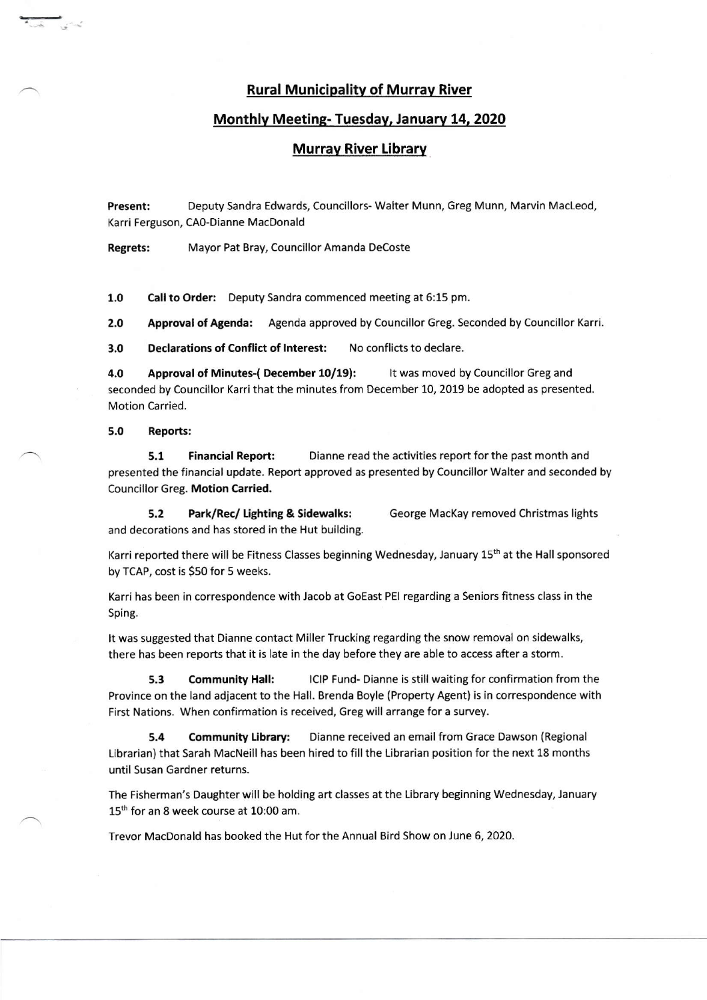## Rural Municipalitv of Murrav River

# Monthly Meeting- Tuesday, January 14, 2020

## Murray River Librarv

Present: Deputy Sandra Edwards, Councillors- Walter Munn, Greg Munn, Marvin MacLeod, Karri Ferguson, CAo-Dianne MacDonald

Regrets: Mayor Pat Bray, Councillor Amanda Decoste

1.0 Call to Order: Deputy Sandra commenced meeting at 6:15 pm.

2.0 Approval of Agenda: Agenda approved by Councillor Greg. Seconded by Councillor Karri.

3.0 Declarations of Conflict of lnterest: No conflicts to declare.

4.0 Approval of Minutes-( December 10/19): It was moved by Councillor Greg and seconded by Councillor Karri that the minutes from December 10, 2019 be adopted as presented. Motion Carried.

#### 5.0 Reports:

**5.1 Financial Report:** Dianne read the activities report for the past month and presented the financial update. Report approved as presented by Councillor Walter and seconded by Councillor Greg. Motion Carried.

5.2 Park/Rec/ Ughting & sidewalks: George MacKay removed christmas lights and decorations and has stored in the Hut building.

Karri reported there will be Fitness Classes beginning Wednesday, January 15<sup>th</sup> at the Hall sponsored by TCAP, cost is \$50 for 5 weeks.

Karri has been in correspondence with Jacob at GoEast PEI regarding a Seniors fitness class in the Sping.

It was suggested that Dianne contact Miller Trucking regarding the snow removal on sidewalks, there has been reports that it is late in the day before they are able to access after a storm.

5.3 Community Hall: lClP Fund- Dianne is still waiting for confirmation from the Province on the land adjacent to the Hall. Brenda Boyle (Property Agent) is in correspondence with First Nations. When confirmation is received, 6reg will arrange for a survey.

5.4 Community Library: Dianne received an email from Grace Dawson (Regional Librarian) that Sarah MacNeill has been hired to fill the Librarian position for the next 18 months until Susan Gardner returns.

The Fisherman's Daughter will be holding art classes at the Library beginning Wednesday, January 15<sup>th</sup> for an 8 week course at 10:00 am.

Trevor MacDonald has booked the Hut for the Annual Bird Show on June 6, 2020.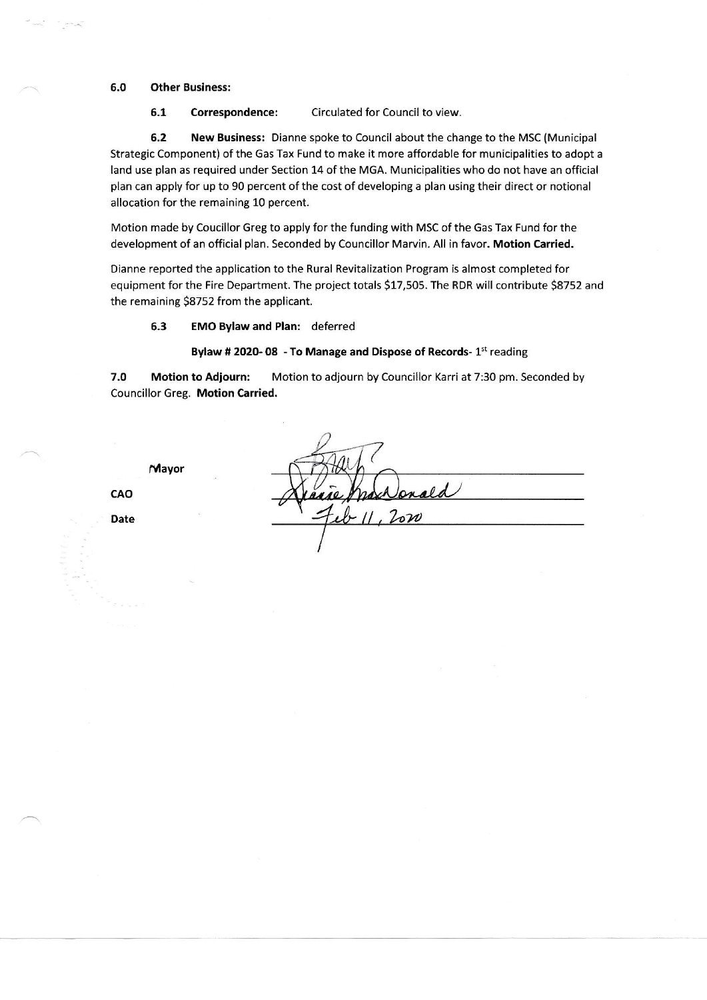### 6.0 Other Business:

6.1 Correspondence: Circulated for Council to view.

6.2 New Business: Dianne spoke to Council about the change to the MSC (Municipal Strategic Component) of the Gas Tax Fund to make it more affordable for municipalities to adopt a land use plan as required under Section 14 of the MGA. Municipalities who do not have an official plan can apply for up to 90 percent of the cost of developing a plan using their direct or notional allocation for the remaining 10 percent.

Motion made by Coucillor Greg to apply for the funding with MSC of the Gas Tax Fund for the development of an official plan. Seconded by Councillor Marvin. All in favor. Motion Carried.

Dianne reported the application to the Rural Revitalization Program is almost completed for equipment for the Fire Department. The project totals S17,505. The RDR will contribute 58752 and the remaining 58752 from the applicant.

6.3 EMO Bylaw and Plan: deferred

#### Bylaw # 2020- 08 - To Manage and Dispose of Records-  $1<sup>st</sup>$  reading

7.O Motion to Adjourn: Motion to adjourn by Councillor Karri at 7:30 pm. Seconded by Councillor Greg. Motion Carried.

Mayor

cAo

Date